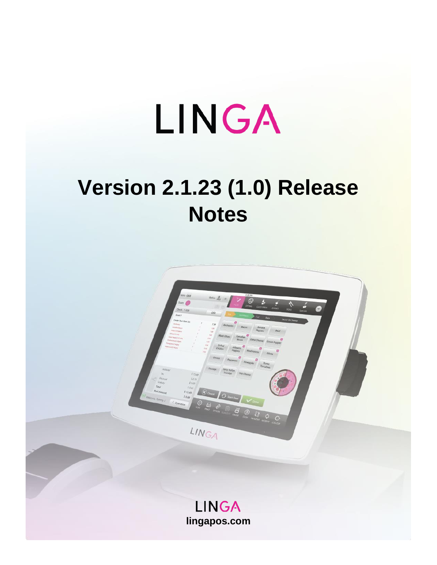# LINGA

## **Version 2.1.23 (1.0) Release Notes**

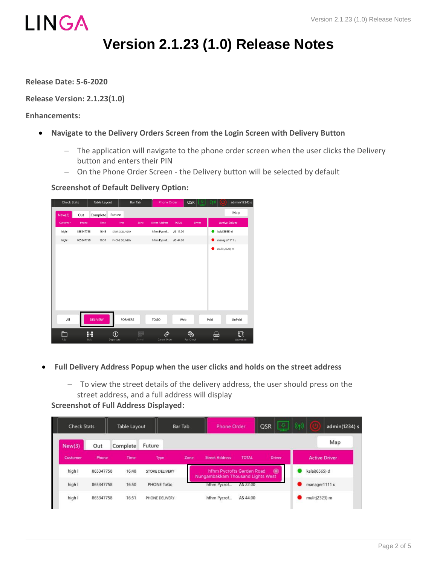

### **Version 2.1.23 (1.0) Release Notes**

**Release Date: 5-6-2020**

**Release Version: 2.1.23(1.0)**

**Enhancements:**

- **Navigate to the Delivery Orders Screen from the Login Screen with Delivery Button**
	- − The application will navigate to the phone order screen when the user clicks the Delivery button and enters their PIN
	- − On the Phone Order Screen the Delivery button will be selected by default

**Screenshot of Default Delivery Option:**

| <b>Check Stats</b> |           |                 | Table Layout               |                | Bar Tab<br><b>Phone Order</b> |                       |              | QSR            |               | admin(1234) s        |
|--------------------|-----------|-----------------|----------------------------|----------------|-------------------------------|-----------------------|--------------|----------------|---------------|----------------------|
| New(2)             | Out       | Complete        | Future                     |                |                               |                       |              |                |               | Map                  |
| Customer           | Phone     | Time            |                            | Type           | Zone                          | <b>Street Address</b> | <b>TOTAL</b> | <b>Driver</b>  |               | <b>Active Driver</b> |
| high I             | 865347758 | 16:48           |                            | STORE DELIVERY |                               | hfhm Pycrof           | A\$ 11.00    |                | kalai(6565) d |                      |
| high I             | 865347758 | 16:51           |                            | PHONE DELIVERY |                               | hfhm Pycrof           | A\$ 44.00    |                | manager1111 u |                      |
|                    |           |                 |                            |                |                               |                       |              |                | mulit(2323) m |                      |
|                    |           |                 |                            |                |                               |                       |              |                |               |                      |
|                    |           |                 |                            |                |                               |                       |              |                |               |                      |
|                    |           |                 |                            |                |                               |                       |              |                |               |                      |
| All                |           | <b>DELIVERY</b> |                            | <b>FORHERE</b> |                               | <b>TOGO</b>           | Web          |                | Paid          | UnPaid               |
| Add                |           | 菲<br>Edit       | $^\copyright$<br>Departure |                | 888<br>888<br>Arrival         | ⇄<br>Cancel Order     |              | ֍<br>Pay Check | 습<br>Print    | 锰<br>Operation       |

- **Full Delivery Address Popup when the user clicks and holds on the street address** 
	- − To view the street details of the delivery address, the user should press on the street address, and a full address will display

**Screenshot of Full Address Displayed:**

| <b>Check Stats</b> |           | Table Layout |                | Bar Tab | Phone Order                                                    |              | 要<br><b>QSR</b> | (q) |               | admin(1234) s        |
|--------------------|-----------|--------------|----------------|---------|----------------------------------------------------------------|--------------|-----------------|-----|---------------|----------------------|
| New(3)             | Out       | Complete     | Future         |         |                                                                |              |                 |     |               | Map                  |
| Customer           | Phone     | Time         | Type           | Zone    | <b>Street Address</b>                                          | <b>TOTAL</b> | <b>Driver</b>   |     |               | <b>Active Driver</b> |
| high I             | 865347758 | 16:48        | STORE DELIVERY |         | hfhm Pycrofts Garden Road<br>Nungambakkam Thousand Lights West |              | $\circledast$   |     | kalai(6565) d |                      |
| high I             | 865347758 | 16:50        | PHONE ToGo     |         | hthm Pycrot                                                    | A\$ 22.00    |                 |     | manager1111 u |                      |
| high I             | 865347758 | 16:51        | PHONE DELIVERY |         | hfhm Pycrof                                                    | A\$44.00     |                 |     | mulit(2323) m |                      |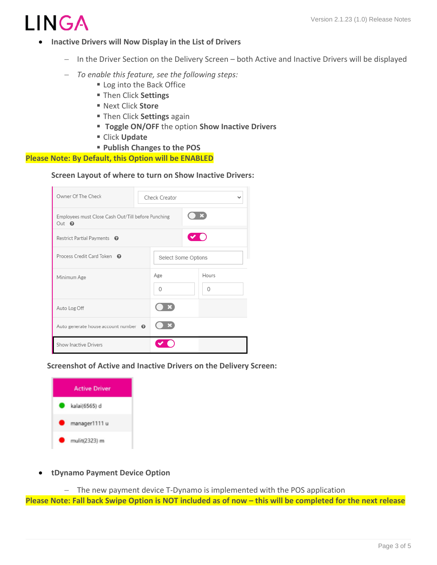

- **Inactive Drivers will Now Display in the List of Drivers**
	- − In the Driver Section on the Delivery Screen both Active and Inactive Drivers will be displayed
	- − *To enable this feature, see the following steps:*
		- Log into the Back Office
		- Then Click **Settings**
		- Next Click **Store**
		- Then Click **Settings** again
		- **Toggle ON/OFF** the option **Show Inactive Drivers**
		- Click **Update**
		- **Publish Changes to the POS**

**Please Note: By Default, this Option will be ENABLED**

#### **Screen Layout of where to turn on Show Inactive Drivers:**

| Owner Of The Check                                                | Check Creator       |          |     |          |  |  |
|-------------------------------------------------------------------|---------------------|----------|-----|----------|--|--|
| Employees must Close Cash Out/Till before Punching<br>Out $\odot$ |                     |          |     |          |  |  |
| Restrict Partial Payments <sup>O</sup>                            |                     |          | VO) |          |  |  |
| Process Credit Card Token @                                       | Select Some Options |          |     |          |  |  |
| Minimum Age                                                       |                     | Age      |     | Hours    |  |  |
|                                                                   |                     | $\Omega$ |     | $\Omega$ |  |  |
| Auto Log Off                                                      |                     |          |     |          |  |  |
| Auto generate house account number $\odot$                        |                     |          |     |          |  |  |
| Show Inactive Drivers                                             |                     |          |     |          |  |  |

 **Screenshot of Active and Inactive Drivers on the Delivery Screen:**



• **tDynamo Payment Device Option**

− The new payment device T-Dynamo is implemented with the POS application **Please Note: Fall back Swipe Option is NOT included as of now – this will be completed for the next release**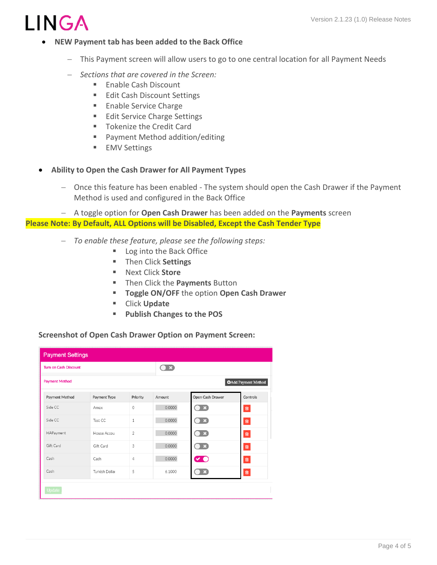

- **NEW Payment tab has been added to the Back Office**
	- − This Payment screen will allow users to go to one central location for all Payment Needs
	- − *Sections that are covered in the Screen:*
		- Enable Cash Discount
		- Edit Cash Discount Settings
		- Enable Service Charge
		- Edit Service Charge Settings
		- Tokenize the Credit Card
		- Payment Method addition/editing
		- **EMV** Settings
- **Ability to Open the Cash Drawer for All Payment Types**
	- − Once this feature has been enabled The system should open the Cash Drawer if the Payment Method is used and configured in the Back Office

− A toggle option for **Open Cash Drawer** has been added on the **Payments** screen **Please Note: By Default, ALL Options will be Disabled, Except the Cash Tender Type**

- − *To enable these feature, please see the following steps:*
	- Log into the Back Office
	- Then Click **Settings**
	- Next Click **Store**
	- Then Click the **Payments** Button
	- **Toggle ON/OFF** the option **Open Cash Drawer**
	- Click **Update**
	- **Publish Changes to the POS**

#### **Screenshot of Open Cash Drawer Option on Payment Screen:**

| <b>Payment Settings</b>      |                |                |                         |                           |                            |
|------------------------------|----------------|----------------|-------------------------|---------------------------|----------------------------|
| <b>Turn on Cash Discount</b> |                |                | $\bigcirc$ $\mathbb{R}$ |                           |                            |
| <b>Payment Method</b>        |                |                |                         |                           | <b>OAdd Payment Method</b> |
| Payment Method               | Payment Type   | Priority       | Amount                  | Open Cash Drawer          | Controls                   |
| Side CC                      | Amex           | $\circ$        | 0.0000                  | $\Box$                    | $\widehat{\mathbf{u}}$     |
| Side CC                      | Test CC        | $\mathbf{1}$   | 0.0000                  | $\mathbf{D}$ $\mathbf{E}$ | û                          |
| HAPayment                    | House Accou    | $\overline{2}$ | 0.0000                  | $\bullet$ $\mathbf{x}$    | Û                          |
| Gift Card                    | Gift Card      | 3              | 0.0000                  | $\bullet$ $\mathbf{r}$    | 會                          |
| Cash                         | Cash           | 4              | 0.0000                  | <b>VO</b>                 | û                          |
| Cash                         | Turkish Dollar | 5              | 6.1000                  | $\boldsymbol{\mathsf{x}}$ | Û                          |
| <b>Update</b>                |                |                |                         |                           |                            |